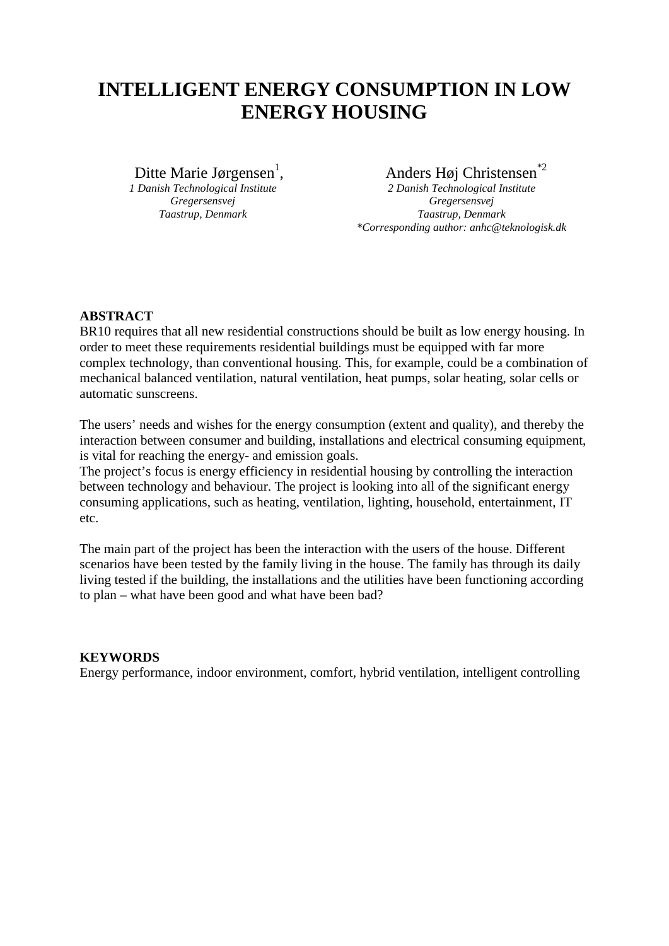# **INTELLIGENT ENERGY CONSUMPTION IN LOW ENERGY HOUSING**

Ditte Marie Jørgensen<sup>1</sup>,

*1 Danish Technological Institute Gregersensvej Taastrup, Denmark*

, Anders Høj Christensen\*2

*2 Danish Technological Institute Gregersensvej Taastrup, Denmark \*Corresponding author: anhc@teknologisk.dk*

## **ABSTRACT**

BR10 requires that all new residential constructions should be built as low energy housing. In order to meet these requirements residential buildings must be equipped with far more complex technology, than conventional housing. This, for example, could be a combination of mechanical balanced ventilation, natural ventilation, heat pumps, solar heating, solar cells or automatic sunscreens.

The users' needs and wishes for the energy consumption (extent and quality), and thereby the interaction between consumer and building, installations and electrical consuming equipment, is vital for reaching the energy- and emission goals.

The project's focus is energy efficiency in residential housing by controlling the interaction between technology and behaviour. The project is looking into all of the significant energy consuming applications, such as heating, ventilation, lighting, household, entertainment, IT etc.

The main part of the project has been the interaction with the users of the house. Different scenarios have been tested by the family living in the house. The family has through its daily living tested if the building, the installations and the utilities have been functioning according to plan – what have been good and what have been bad?

## **KEYWORDS**

Energy performance, indoor environment, comfort, hybrid ventilation, intelligent controlling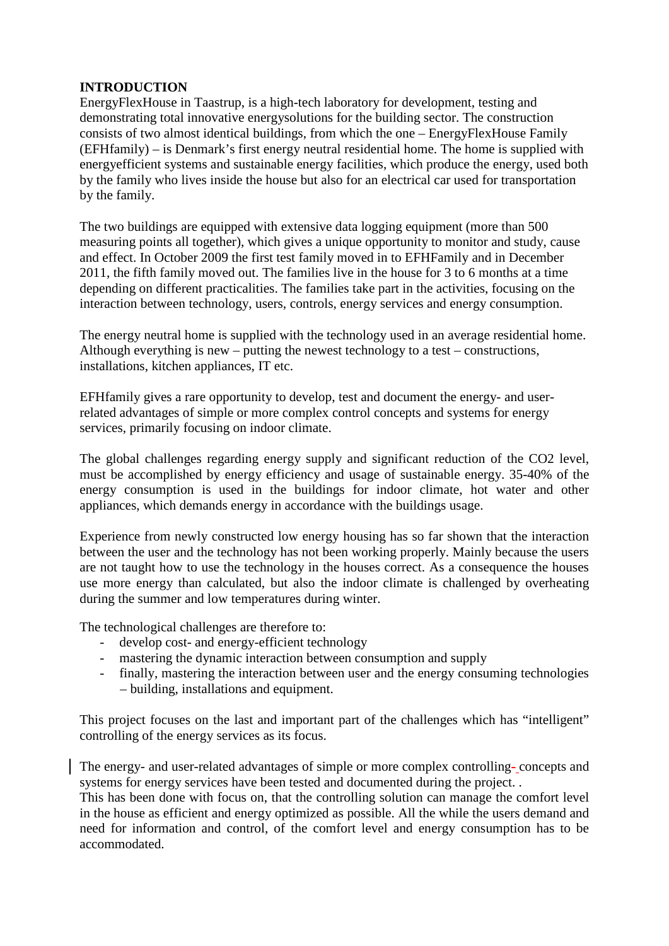#### **INTRODUCTION**

EnergyFlexHouse in Taastrup, is a high-tech laboratory for development, testing and demonstrating total innovative energysolutions for the building sector. The construction consists of two almost identical buildings, from which the one – EnergyFlexHouse Family (EFHfamily) – is Denmark's first energy neutral residential home. The home is supplied with energyefficient systems and sustainable energy facilities, which produce the energy, used both by the family who lives inside the house but also for an electrical car used for transportation by the family.

The two buildings are equipped with extensive data logging equipment (more than 500 measuring points all together), which gives a unique opportunity to monitor and study, cause and effect. In October 2009 the first test family moved in to EFHFamily and in December 2011, the fifth family moved out. The families live in the house for 3 to 6 months at a time depending on different practicalities. The families take part in the activities, focusing on the interaction between technology, users, controls, energy services and energy consumption.

The energy neutral home is supplied with the technology used in an average residential home. Although everything is new – putting the newest technology to a test – constructions, installations, kitchen appliances, IT etc.

EFHfamily gives a rare opportunity to develop, test and document the energy- and userrelated advantages of simple or more complex control concepts and systems for energy services, primarily focusing on indoor climate.

The global challenges regarding energy supply and significant reduction of the CO2 level, must be accomplished by energy efficiency and usage of sustainable energy. 35-40% of the energy consumption is used in the buildings for indoor climate, hot water and other appliances, which demands energy in accordance with the buildings usage.

Experience from newly constructed low energy housing has so far shown that the interaction between the user and the technology has not been working properly. Mainly because the users are not taught how to use the technology in the houses correct. As a consequence the houses use more energy than calculated, but also the indoor climate is challenged by overheating during the summer and low temperatures during winter.

The technological challenges are therefore to:

- develop cost- and energy-efficient technology
- mastering the dynamic interaction between consumption and supply
- finally, mastering the interaction between user and the energy consuming technologies – building, installations and equipment.

This project focuses on the last and important part of the challenges which has "intelligent" controlling of the energy services as its focus.

The energy- and user-related advantages of simple or more complex controlling- concepts and systems for energy services have been tested and documented during the project. .

This has been done with focus on, that the controlling solution can manage the comfort level in the house as efficient and energy optimized as possible. All the while the users demand and need for information and control, of the comfort level and energy consumption has to be accommodated.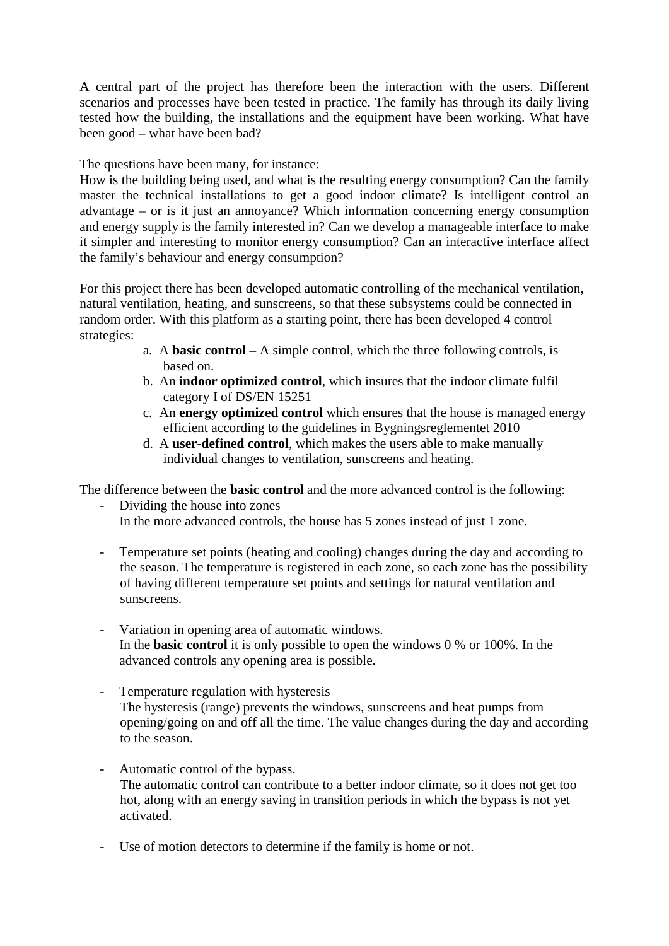A central part of the project has therefore been the interaction with the users. Different scenarios and processes have been tested in practice. The family has through its daily living tested how the building, the installations and the equipment have been working. What have been good – what have been bad?

The questions have been many, for instance:

How is the building being used, and what is the resulting energy consumption? Can the family master the technical installations to get a good indoor climate? Is intelligent control an advantage – or is it just an annoyance? Which information concerning energy consumption and energy supply is the family interested in? Can we develop a manageable interface to make it simpler and interesting to monitor energy consumption? Can an interactive interface affect the family's behaviour and energy consumption?

For this project there has been developed automatic controlling of the mechanical ventilation, natural ventilation, heating, and sunscreens, so that these subsystems could be connected in random order. With this platform as a starting point, there has been developed 4 control strategies:

- a. A **basic control –** A simple control, which the three following controls, is based on.
- b. An **indoor optimized control**, which insures that the indoor climate fulfil category I of DS/EN 15251
- c. An **energy optimized control** which ensures that the house is managed energy efficient according to the guidelines in Bygningsreglementet 2010
- d. A **user-defined control**, which makes the users able to make manually individual changes to ventilation, sunscreens and heating.

The difference between the **basic control** and the more advanced control is the following:

- Dividing the house into zones In the more advanced controls, the house has 5 zones instead of just 1 zone.
- Temperature set points (heating and cooling) changes during the day and according to the season. The temperature is registered in each zone, so each zone has the possibility of having different temperature set points and settings for natural ventilation and sunscreens.
- Variation in opening area of automatic windows. In the **basic control** it is only possible to open the windows 0 % or 100%. In the advanced controls any opening area is possible.
- Temperature regulation with hysteresis The hysteresis (range) prevents the windows, sunscreens and heat pumps from opening/going on and off all the time. The value changes during the day and according to the season.
- Automatic control of the bypass. The automatic control can contribute to a better indoor climate, so it does not get too hot, along with an energy saving in transition periods in which the bypass is not yet activated.
- Use of motion detectors to determine if the family is home or not.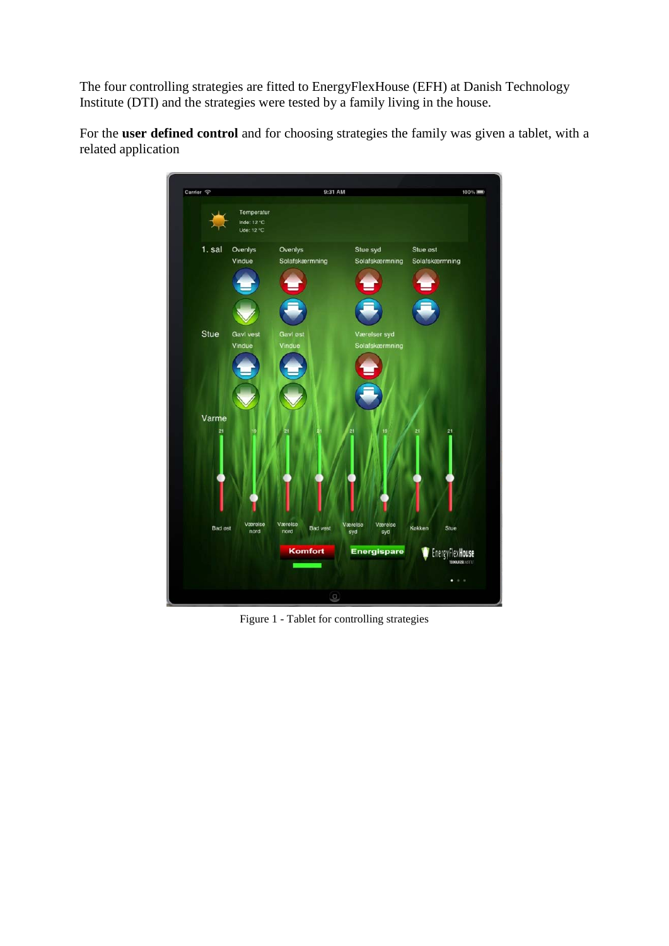The four controlling strategies are fitted to EnergyFlexHouse (EFH) at Danish Technology Institute (DTI) and the strategies were tested by a family living in the house.

For the **user defined control** and for choosing strategies the family was given a tablet, with a related application



Figure 1 - Tablet for controlling strategies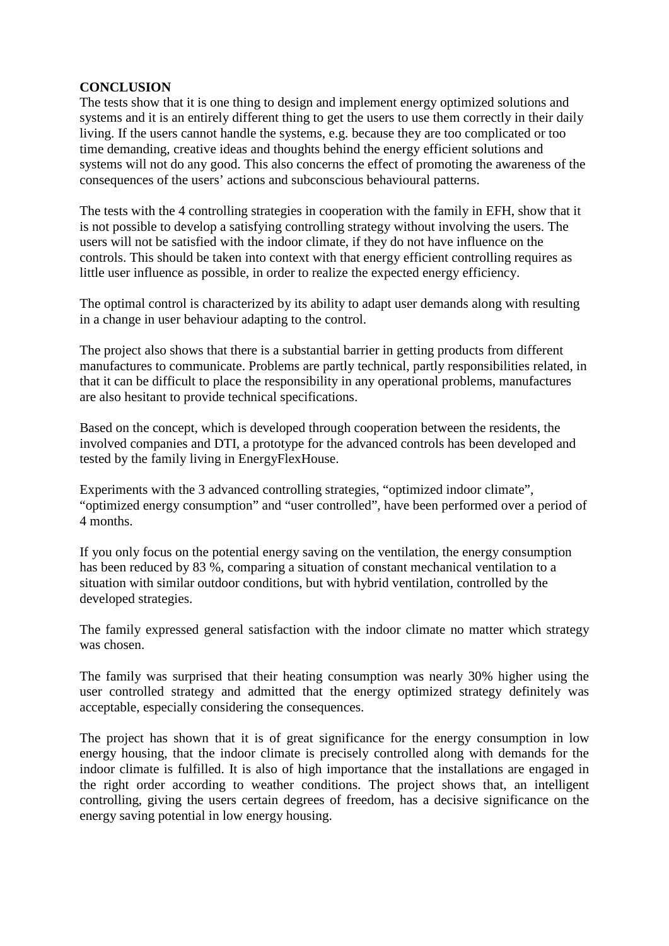### **CONCLUSION**

The tests show that it is one thing to design and implement energy optimized solutions and systems and it is an entirely different thing to get the users to use them correctly in their daily living. If the users cannot handle the systems, e.g. because they are too complicated or too time demanding, creative ideas and thoughts behind the energy efficient solutions and systems will not do any good. This also concerns the effect of promoting the awareness of the consequences of the users' actions and subconscious behavioural patterns.

The tests with the 4 controlling strategies in cooperation with the family in EFH, show that it is not possible to develop a satisfying controlling strategy without involving the users. The users will not be satisfied with the indoor climate, if they do not have influence on the controls. This should be taken into context with that energy efficient controlling requires as little user influence as possible, in order to realize the expected energy efficiency.

The optimal control is characterized by its ability to adapt user demands along with resulting in a change in user behaviour adapting to the control.

The project also shows that there is a substantial barrier in getting products from different manufactures to communicate. Problems are partly technical, partly responsibilities related, in that it can be difficult to place the responsibility in any operational problems, manufactures are also hesitant to provide technical specifications.

Based on the concept, which is developed through cooperation between the residents, the involved companies and DTI, a prototype for the advanced controls has been developed and tested by the family living in EnergyFlexHouse.

Experiments with the 3 advanced controlling strategies, "optimized indoor climate", "optimized energy consumption" and "user controlled", have been performed over a period of 4 months.

If you only focus on the potential energy saving on the ventilation, the energy consumption has been reduced by 83 %, comparing a situation of constant mechanical ventilation to a situation with similar outdoor conditions, but with hybrid ventilation, controlled by the developed strategies.

The family expressed general satisfaction with the indoor climate no matter which strategy was chosen.

The family was surprised that their heating consumption was nearly 30% higher using the user controlled strategy and admitted that the energy optimized strategy definitely was acceptable, especially considering the consequences.

The project has shown that it is of great significance for the energy consumption in low energy housing, that the indoor climate is precisely controlled along with demands for the indoor climate is fulfilled. It is also of high importance that the installations are engaged in the right order according to weather conditions. The project shows that, an intelligent controlling, giving the users certain degrees of freedom, has a decisive significance on the energy saving potential in low energy housing.